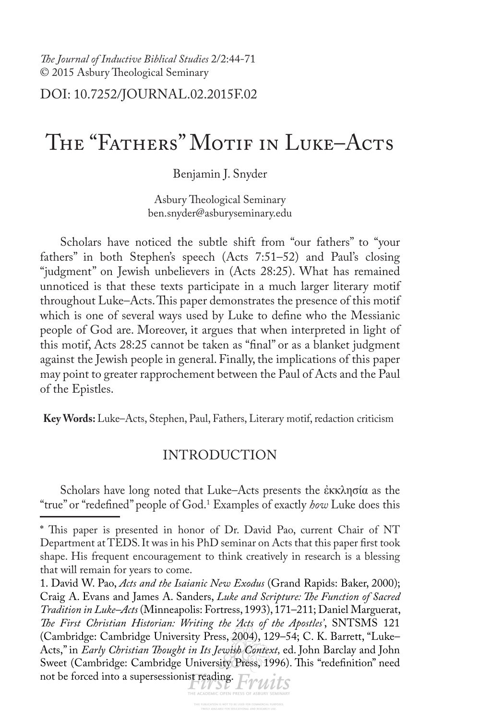*Te Journal of Inductive Biblical Studies* 2/2:44-71 © 2015 Asbury Theological Seminary

# DOI: 10.7252/JOURNAL.02.2015F.02

# The "Fathers" Motif in Luke–Acts

Benjamin J. Snyder

Asbury Theological Seminary ben.snyder@asburyseminary.edu

Scholars have noticed the subtle shift from "our fathers" to "your fathers" in both Stephen's speech (Acts 7:51–52) and Paul's closing "judgment" on Jewish unbelievers in (Acts 28:25). What has remained unnoticed is that these texts participate in a much larger literary motif throughout Luke–Acts. This paper demonstrates the presence of this motif which is one of several ways used by Luke to defne who the Messianic people of God are. Moreover, it argues that when interpreted in light of this motif, Acts 28:25 cannot be taken as "fnal" or as a blanket judgment against the Jewish people in general. Finally, the implications of this paper may point to greater rapprochement between the Paul of Acts and the Paul of the Epistles.

**Key Words:** Luke–Acts, Stephen, Paul, Fathers, Literary motif, redaction criticism

# INTRODUCTION

Scholars have long noted that Luke–Acts presents the ἐκκλησία as the "true" or "redefned" people of God.<sup>1</sup> Examples of exactly *how* Luke does this

<sup>\*</sup> This paper is presented in honor of Dr. David Pao, current Chair of NT Department at TEDS. It was in his PhD seminar on Acts that this paper frst took shape. His frequent encouragement to think creatively in research is a blessing that will remain for years to come.

<sup>1.</sup> David W. Pao, *Acts and the Isaianic New Exodus* (Grand Rapids: Baker, 2000); Craig A. Evans and James A. Sanders, *Luke and Scripture: Te Function of Sacred Tradition in Luke–Acts* (Minneapolis: Fortress, 1993), 171–211; Daniel Marguerat, *Te First Christian Historian: Writing the 'Acts of the Apostles'*, SNTSMS 121 (Cambridge: Cambridge University Press, 2004), 129–54; C. K. Barrett, "Luke– Acts," in *Early Christian Tought in Its Jewish Context,* ed. John Barclay and John Sweet (Cambridge: Cambridge University Press, 1996). This "redefinition" need not be forced into a supersessionist reading. EVWILS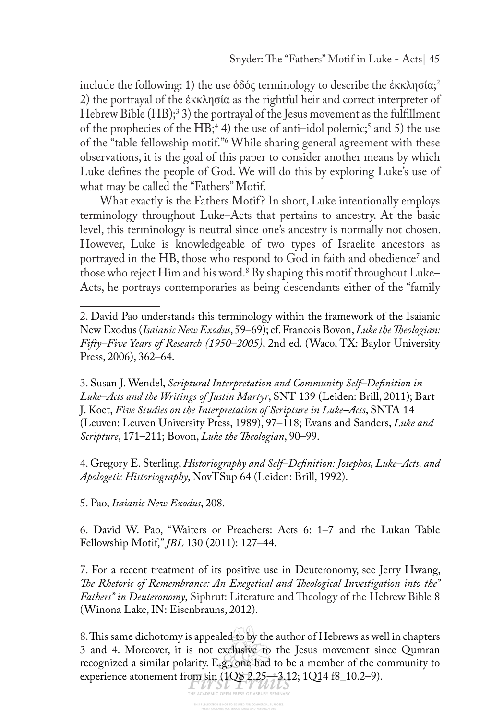include the following: 1) the use ὁδός terminology to describe the ἐκκλησία; 2 2) the portrayal of the ἐκκλησία as the rightful heir and correct interpreter of Hebrew Bible (HB);<sup>3</sup> 3) the portrayal of the Jesus movement as the fulfillment of the prophecies of the HB;<sup>4</sup> 4) the use of anti–idol polemic;<sup>5</sup> and 5) the use of the "table fellowship motif."6 While sharing general agreement with these observations, it is the goal of this paper to consider another means by which Luke defnes the people of God. We will do this by exploring Luke's use of what may be called the "Fathers" Motif.

What exactly is the Fathers Motif? In short, Luke intentionally employs terminology throughout Luke–Acts that pertains to ancestry. At the basic level, this terminology is neutral since one's ancestry is normally not chosen. However, Luke is knowledgeable of two types of Israelite ancestors as portrayed in the HB, those who respond to God in faith and obedience<sup>7</sup> and those who reject Him and his word.8 By shaping this motif throughout Luke– Acts, he portrays contemporaries as being descendants either of the "family

3. Susan J. Wendel, *Scriptural Interpretation and Community Self–Defnition in Luke–Acts and the Writings of Justin Martyr*, SNT 139 (Leiden: Brill, 2011); Bart J. Koet, *Five Studies on the Interpretation of Scripture in Luke–Acts*, SNTA 14 (Leuven: Leuven University Press, 1989), 97–118; Evans and Sanders, *Luke and Scripture*, 171–211; Bovon, *Luke the Teologian*, 90–99.

4. Gregory E. Sterling, *Historiography and Self–Defnition: Josephos, Luke–Acts, and Apologetic Historiography*, NovTSup 64 (Leiden: Brill, 1992).

5. Pao, *Isaianic New Exodus*, 208.

6. David W. Pao, "Waiters or Preachers: Acts 6: 1–7 and the Lukan Table Fellowship Motif," *JBL* 130 (2011): 127–44.

7. For a recent treatment of its positive use in Deuteronomy, see Jerry Hwang, *Te Rhetoric of Remembrance: An Exegetical and Teological Investigation into the"*  Fathers" in Deuteronomy, Siphrut: Literature and Theology of the Hebrew Bible 8 (Winona Lake, IN: Eisenbrauns, 2012).

8. This same dichotomy is appealed to by the author of Hebrews as well in chapters 3 and 4. Moreover, it is not exclusive to the Jesus movement since Qumran recognized a similar polarity. E.g., one had to be a member of the community to experience atonement from  $\lim_{\text{PHE ACOEMIC OF EN PRES S OF AS BURS SET 24, 12}} (1Q52.25 \text{ m}^3)(1214 \text{ fs} - 10.2-9).$ 

<sup>2.</sup> David Pao understands this terminology within the framework of the Isaianic New Exodus (*Isaianic New Exodus*, 59–69); cf. Francois Bovon, *Luke the Teologian: Fifty–Five Years of Research (1950–2005)*, 2nd ed. (Waco, TX: Baylor University Press, 2006), 362–64.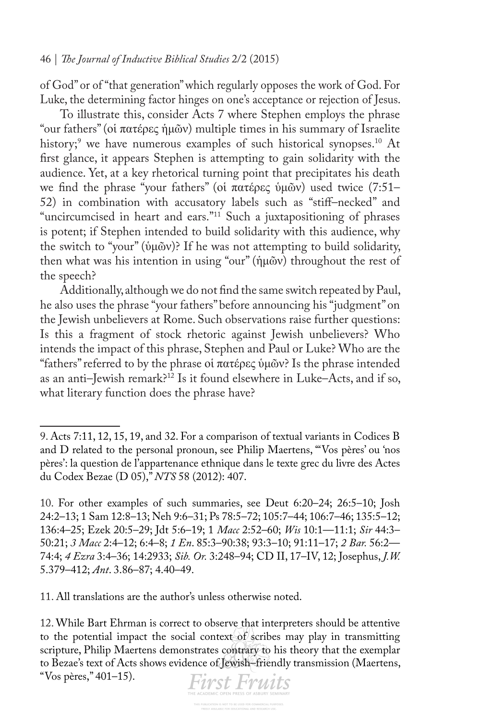of God" or of "that generation" which regularly opposes the work of God. For Luke, the determining factor hinges on one's acceptance or rejection of Jesus.

To illustrate this, consider Acts 7 where Stephen employs the phrase "our fathers" (οἱ πατέρες ἡμῶν) multiple times in his summary of Israelite history;<sup>9</sup> we have numerous examples of such historical synopses.<sup>10</sup> At frst glance, it appears Stephen is attempting to gain solidarity with the audience. Yet, at a key rhetorical turning point that precipitates his death we fnd the phrase "your fathers" (οἱ πατέρες ὑμῶν) used twice (7:51– 52) in combination with accusatory labels such as "stif–necked" and "uncircumcised in heart and ears."<sup>11</sup> Such a juxtapositioning of phrases is potent; if Stephen intended to build solidarity with this audience, why the switch to "your" (ὑμῶν)? If he was not attempting to build solidarity, then what was his intention in using "our" (ἡμῶν) throughout the rest of the speech?

Additionally, although we do not fnd the same switch repeated by Paul, he also uses the phrase "your fathers" before announcing his "judgment" on the Jewish unbelievers at Rome. Such observations raise further questions: Is this a fragment of stock rhetoric against Jewish unbelievers? Who intends the impact of this phrase, Stephen and Paul or Luke? Who are the "fathers" referred to by the phrase οἱ πατέρες ὑμῶν? Is the phrase intended as an anti–Jewish remark?12 Is it found elsewhere in Luke–Acts, and if so, what literary function does the phrase have?

11. All translations are the author's unless otherwise noted.

"Vos pères," 401–15).



<sup>9.</sup> Acts 7:11, 12, 15, 19, and 32. For a comparison of textual variants in Codices B and D related to the personal pronoun, see Philip Maertens, "'Vos pères' ou 'nos pères': la question de l'appartenance ethnique dans le texte grec du livre des Actes du Codex Bezae (D 05)," *NTS* 58 (2012): 407.

<sup>10.</sup> For other examples of such summaries, see Deut 6:20–24; 26:5–10; Josh 24:2–13; 1 Sam 12:8–13; Neh 9:6–31; Ps 78:5–72; 105:7–44; 106:7–46; 135:5–12; 136:4–25; Ezek 20:5–29; Jdt 5:6–19; 1 *Macc* 2:52–60; *Wis* 10:1—11:1; *Sir* 44:3– 50:21; *3 Macc* 2:4–12; 6:4–8; *1 En*. 85:3–90:38; 93:3–10; 91:11–17; *2 Bar.* 56:2— 74:4; *4 Ezra* 3:4–36; 14:2933; *Sib. Or.* 3:248–94; CD II, 17–IV, 12; Josephus, *J.W.*  5.379–412; *Ant*. 3.86–87; 4.40–49.

<sup>12.</sup> While Bart Ehrman is correct to observe that interpreters should be attentive to the potential impact the social context of scribes may play in transmitting scripture, Philip Maertens demonstrates contrary to his theory that the exemplar to Bezae's text of Acts shows evidence of Jewish–friendly transmission (Maertens,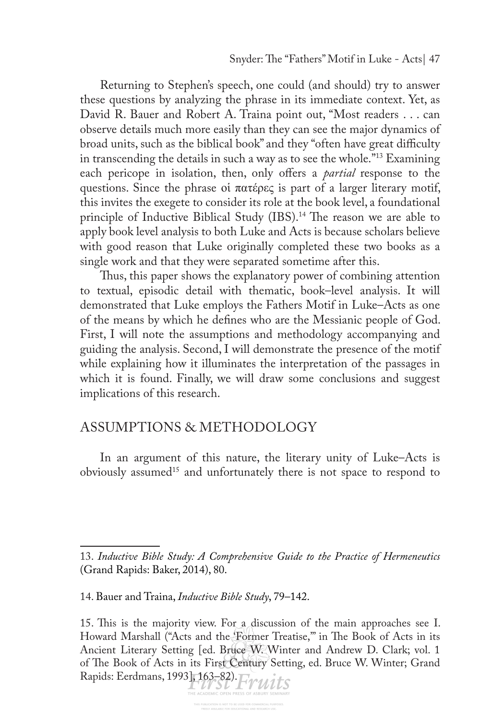Returning to Stephen's speech, one could (and should) try to answer these questions by analyzing the phrase in its immediate context. Yet, as David R. Bauer and Robert A. Traina point out, "Most readers . . . can observe details much more easily than they can see the major dynamics of broad units, such as the biblical book" and they "often have great difficulty in transcending the details in such a way as to see the whole."13 Examining each pericope in isolation, then, only offers a *partial* response to the questions. Since the phrase οἱ πατέρες is part of a larger literary motif, this invites the exegete to consider its role at the book level, a foundational principle of Inductive Biblical Study (IBS).<sup>14</sup> The reason we are able to apply book level analysis to both Luke and Acts is because scholars believe with good reason that Luke originally completed these two books as a single work and that they were separated sometime after this.

Thus, this paper shows the explanatory power of combining attention to textual, episodic detail with thematic, book–level analysis. It will demonstrated that Luke employs the Fathers Motif in Luke–Acts as one of the means by which he defnes who are the Messianic people of God. First, I will note the assumptions and methodology accompanying and guiding the analysis. Second, I will demonstrate the presence of the motif while explaining how it illuminates the interpretation of the passages in which it is found. Finally, we will draw some conclusions and suggest implications of this research.

# ASSUMPTIONS & METHODOLOGY

In an argument of this nature, the literary unity of Luke–Acts is obviously assumed15 and unfortunately there is not space to respond to

<sup>13.</sup> *Inductive Bible Study: A Comprehensive Guide to the Practice of Hermeneutics*  (Grand Rapids: Baker, 2014), 80.

<sup>14.</sup> Bauer and Traina, *Inductive Bible Study*, 79–142.

<sup>15.</sup> This is the majority view. For a discussion of the main approaches see I. Howard Marshall ("Acts and the Former Treatise," in The Book of Acts in its Ancient Literary Setting [ed. Bruce W. Winter and Andrew D. Clark; vol. 1 of The Book of Acts in its First Century Setting, ed. Bruce W. Winter; Grand Rapids: Eerdmans, 1993], 163–82). Finite Alexande OPEN PRESS OF ASSURY SEMINARY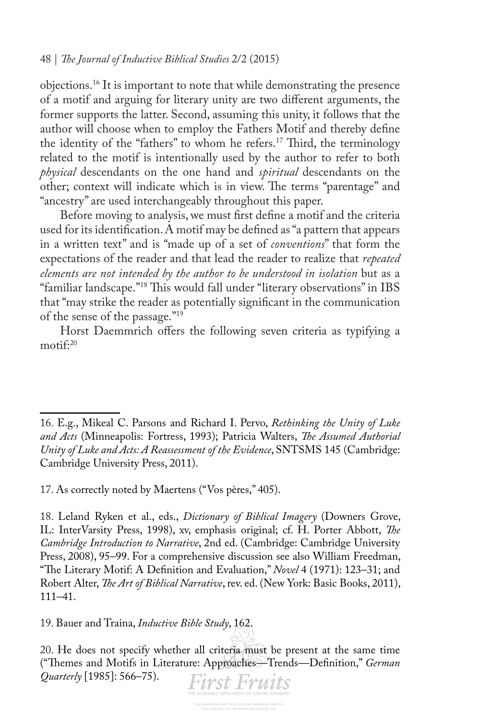objections.16 It is important to note that while demonstrating the presence of a motif and arguing for literary unity are two diferent arguments, the former supports the latter. Second, assuming this unity, it follows that the author will choose when to employ the Fathers Motif and thereby defne the identity of the "fathers" to whom he refers.<sup>17</sup> Third, the terminology related to the motif is intentionally used by the author to refer to both *physical* descendants on the one hand and *spiritual* descendants on the other; context will indicate which is in view. The terms "parentage" and "ancestry" are used interchangeably throughout this paper.

Before moving to analysis, we must frst defne a motif and the criteria used for its identifcation. A motif may be defned as "a pattern that appears in a written text" and is "made up of a set of *conventions*" that form the expectations of the reader and that lead the reader to realize that *repeated elements are not intended by the author to be understood in isolation* but as a "familiar landscape."<sup>18</sup> This would fall under "literary observations" in IBS that "may strike the reader as potentially signifcant in the communication of the sense of the passage."19

Horst Daemmrich offers the following seven criteria as typifying a motif<sup>:20</sup>

17. As correctly noted by Maertens ("Vos pères," 405).

18. Leland Ryken et al., eds., *Dictionary of Biblical Imagery* (Downers Grove, IL: InterVarsity Press, 1998), xv, emphasis original; cf. H. Porter Abbott, *Te Cambridge Introduction to Narrative*, 2nd ed. (Cambridge: Cambridge University Press, 2008), 95–99. For a comprehensive discussion see also William Freedman, "The Literary Motif: A Definition and Evaluation," *Novel* 4 (1971): 123–31; and Robert Alter, *Te Art of Biblical Narrative*, rev. ed. (New York: Basic Books, 2011), 111–41.

19. Bauer and Traina, *Inductive Bible Study*, 162.

20. He does not specify whether all criteria must be present at the same time ("Temes and Motifs in Literature: Approaches*—*Trends*—*Defnition," *German Quarterly* [1985]: 566–75).**First Fruits** 

<sup>16.</sup> E.g., Mikeal C. Parsons and Richard I. Pervo, *Rethinking the Unity of Luke and Acts* (Minneapolis: Fortress, 1993); Patricia Walters, *Te Assumed Authorial Unity of Luke and Acts: A Reassessment of the Evidence*, SNTSMS 145 (Cambridge: Cambridge University Press, 2011).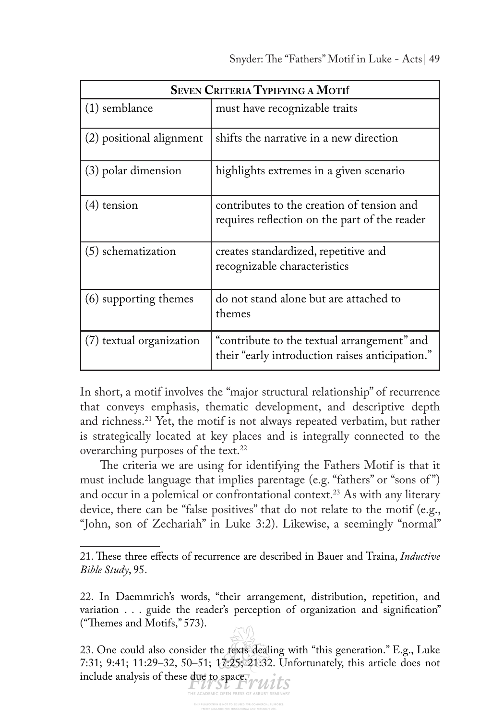| <b>SEVEN CRITERIA TYPIFYING A MOTIF</b> |                                                                                                |  |
|-----------------------------------------|------------------------------------------------------------------------------------------------|--|
| $(1)$ semblance                         | must have recognizable traits                                                                  |  |
| (2) positional alignment                | shifts the narrative in a new direction                                                        |  |
| (3) polar dimension                     | highlights extremes in a given scenario                                                        |  |
| $(4)$ tension                           | contributes to the creation of tension and<br>requires reflection on the part of the reader    |  |
| (5) schematization                      | creates standardized, repetitive and<br>recognizable characteristics                           |  |
| (6) supporting themes                   | do not stand alone but are attached to<br>themes                                               |  |
| (7) textual organization                | "contribute to the textual arrangement" and<br>their "early introduction raises anticipation." |  |

In short, a motif involves the "major structural relationship" of recurrence that conveys emphasis, thematic development, and descriptive depth and richness.21 Yet, the motif is not always repeated verbatim, but rather is strategically located at key places and is integrally connected to the overarching purposes of the text.<sup>22</sup>

The criteria we are using for identifying the Fathers Motif is that it must include language that implies parentage (e.g. "fathers" or "sons of ") and occur in a polemical or confrontational context.<sup>23</sup> As with any literary device, there can be "false positives" that do not relate to the motif (e.g., "John, son of Zechariah" in Luke 3:2). Likewise, a seemingly "normal"

<sup>21.</sup> Tese three efects of recurrence are described in Bauer and Traina, *Inductive Bible Study*, 95.

<sup>22.</sup> In Daemmrich's words, "their arrangement, distribution, repetition, and variation . . . guide the reader's perception of organization and signifcation" ("Themes and Motifs," 573).

<sup>23.</sup> One could also consider the texts dealing with "this generation." E.g., Luke 7:31; 9:41; 11:29–32, 50–51; 17:25; 21:32. Unfortunately, this article does not include analysis of these due to space.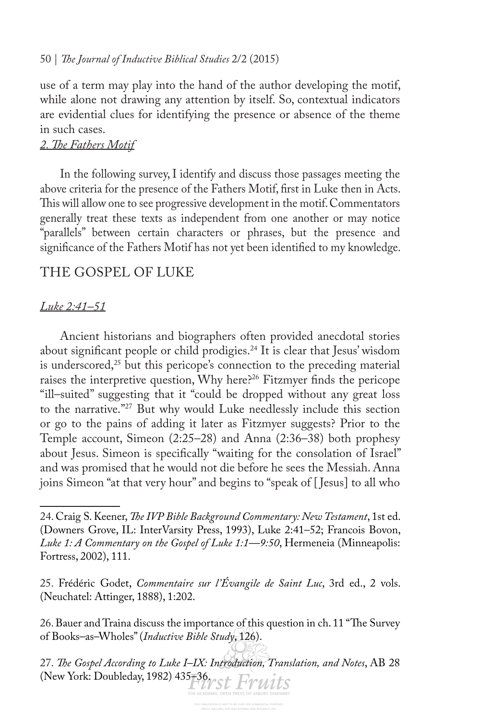use of a term may play into the hand of the author developing the motif, while alone not drawing any attention by itself. So, contextual indicators are evidential clues for identifying the presence or absence of the theme in such cases.

### *2. Te Fathers Motif*

In the following survey, I identify and discuss those passages meeting the above criteria for the presence of the Fathers Motif, frst in Luke then in Acts. This will allow one to see progressive development in the motif. Commentators generally treat these texts as independent from one another or may notice "parallels" between certain characters or phrases, but the presence and signifcance of the Fathers Motif has not yet been identifed to my knowledge.

## THE GOSPEL OF LUKE

#### *Luke 2:41–51*

Ancient historians and biographers often provided anecdotal stories about significant people or child prodigies.<sup>24</sup> It is clear that Jesus' wisdom is underscored, $25$  but this pericope's connection to the preceding material raises the interpretive question, Why here?<sup>26</sup> Fitzmyer finds the pericope "ill–suited" suggesting that it "could be dropped without any great loss to the narrative."27 But why would Luke needlessly include this section or go to the pains of adding it later as Fitzmyer suggests? Prior to the Temple account, Simeon (2:25–28) and Anna (2:36–38) both prophesy about Jesus. Simeon is specifcally "waiting for the consolation of Israel" and was promised that he would not die before he sees the Messiah. Anna joins Simeon "at that very hour" and begins to "speak of [ Jesus] to all who

<sup>24.</sup> Craig S. Keener, *Te IVP Bible Background Commentary: New Testament*, 1st ed. (Downers Grove, IL: InterVarsity Press, 1993), Luke 2:41–52; Francois Bovon, *Luke 1: A Commentary on the Gospel of Luke 1:1—9:50*, Hermeneia (Minneapolis: Fortress, 2002), 111.

<sup>25.</sup> Frédéric Godet, *Commentaire sur l'Évangile de Saint Luc*, 3rd ed., 2 vols. (Neuchatel: Attinger, 1888), 1:202.

<sup>26.</sup> Bauer and Traina discuss the importance of this question in ch. 11 "The Survey" of Books–as–Wholes" (*Inductive Bible Study*, 126).

<sup>27.</sup> *Te Gospel According to Luke I–IX: Introduction, Translation, and Notes*, AB 28 (New York: Doubleday, 1982) 435 36 rst Fruits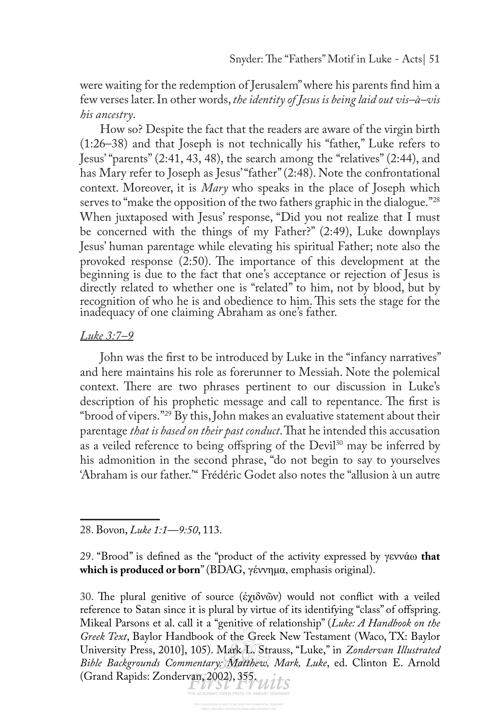were waiting for the redemption of Jerusalem" where his parents fnd him a few verses later. In other words, *the identity of Jesus is being laid out vis–à–vis his ancestry*.

How so? Despite the fact that the readers are aware of the virgin birth (1:26–38) and that Joseph is not technically his "father," Luke refers to Jesus' "parents" (2:41, 43, 48), the search among the "relatives" (2:44), and has Mary refer to Joseph as Jesus' "father" (2:48). Note the confrontational context. Moreover, it is *Mary* who speaks in the place of Joseph which serves to "make the opposition of the two fathers graphic in the dialogue."<sup>28</sup> When juxtaposed with Jesus' response, "Did you not realize that I must be concerned with the things of my Father?" (2:49), Luke downplays Jesus' human parentage while elevating his spiritual Father; note also the provoked response  $(2:50)$ . The importance of this development at the beginning is due to the fact that one's acceptance or rejection of Jesus is directly related to whether one is "related" to him, not by blood, but by recognition of who he is and obedience to him. This sets the stage for the inadequacy of one claiming Abraham as one's father.

#### *Luke 3:7–9*

John was the frst to be introduced by Luke in the "infancy narratives" and here maintains his role as forerunner to Messiah. Note the polemical context. There are two phrases pertinent to our discussion in Luke's description of his prophetic message and call to repentance. The first is "brood of vipers."29 By this, John makes an evaluative statement about their parentage *that is based on their past conduct*. That he intended this accusation as a veiled reference to being offspring of the Devil<sup>30</sup> may be inferred by his admonition in the second phrase, "do not begin to say to yourselves 'Abraham is our father.'" Frédéric Godet also notes the "allusion à un autre

28. Bovon, *Luke 1:1—9:50*, 113.

29. "Brood" is defned as the "product of the activity expressed by γεννάω **that which is produced or born**" (BDAG, γέννημα, emphasis original).

30. The plural genitive of source (ἐχιδνῶν) would not conflict with a veiled reference to Satan since it is plural by virtue of its identifying "class" of offspring. Mikeal Parsons et al. call it a "genitive of relationship" (*Luke: A Handbook on the Greek Text*, Baylor Handbook of the Greek New Testament (Waco, TX: Baylor University Press, 2010], 105). Mark L. Strauss, "Luke," in *Zondervan Illustrated Bible Backgrounds Commentary: Matthew, Mark, Luke*, ed. Clinton E. Arnold (Grand Rapids: Zondervan, 2002), 355. With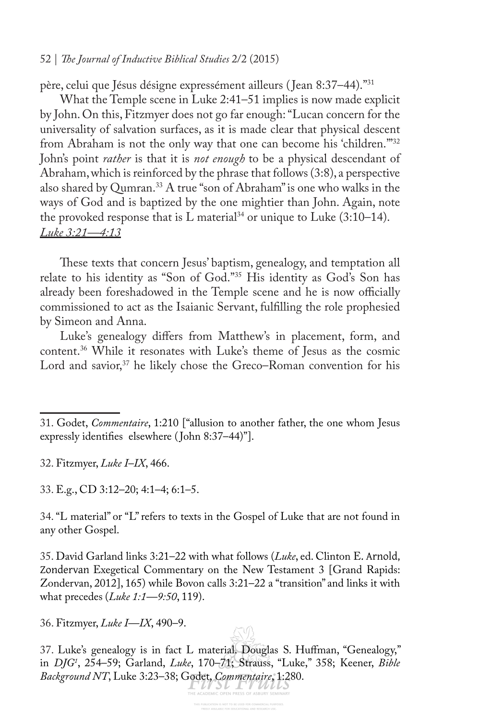père, celui que Jésus désigne expressément ailleurs ( Jean 8:37–44)."31

What the Temple scene in Luke 2:41–51 implies is now made explicit by John. On this, Fitzmyer does not go far enough: "Lucan concern for the universality of salvation surfaces, as it is made clear that physical descent from Abraham is not the only way that one can become his 'children.'"32 John's point *rather* is that it is *not enough* to be a physical descendant of Abraham, which is reinforced by the phrase that follows (3:8), a perspective also shared by Qumran.<sup>33</sup> A true "son of Abraham" is one who walks in the ways of God and is baptized by the one mightier than John. Again, note the provoked response that is  $L$  material<sup>34</sup> or unique to Luke  $(3:10-14)$ . *Luke 3:21—4:13*

These texts that concern Jesus' baptism, genealogy, and temptation all relate to his identity as "Son of God."35 His identity as God's Son has already been foreshadowed in the Temple scene and he is now officially commissioned to act as the Isaianic Servant, fulflling the role prophesied by Simeon and Anna.

Luke's genealogy difers from Matthew's in placement, form, and content.36 While it resonates with Luke's theme of Jesus as the cosmic Lord and savior,<sup>37</sup> he likely chose the Greco–Roman convention for his

32. Fitzmyer, *Luke I–IX*, 466.

33. E.g., CD 3:12–20; 4:1–4; 6:1–5.

34. "L material" or "L" refers to texts in the Gospel of Luke that are not found in any other Gospel.

35. David Garland links 3:21–22 with what follows (*Luke*, ed. Clinton E. Arnold, Zondervan Exegetical Commentary on the New Testament 3 [Grand Rapids: Zondervan, 2012], 165) while Bovon calls 3:21–22 a "transition" and links it with what precedes (*Luke 1:1—9:50*, 119).

36. Fitzmyer, *Luke I—IX*, 490–9.

37. Luke's genealogy is in fact L material. Douglas S. Hufman, "Genealogy," in *DJG1* , 254–59; Garland, *Luke*, 170–71; Strauss, "Luke," 358; Keener, *Bible Background NT*, Luke 3:23–38; Godet, *Commentaire*, 1:280.

<sup>31.</sup> Godet, *Commentaire*, 1:210 ["allusion to another father, the one whom Jesus expressly identifies elsewhere (John 8:37-44)"].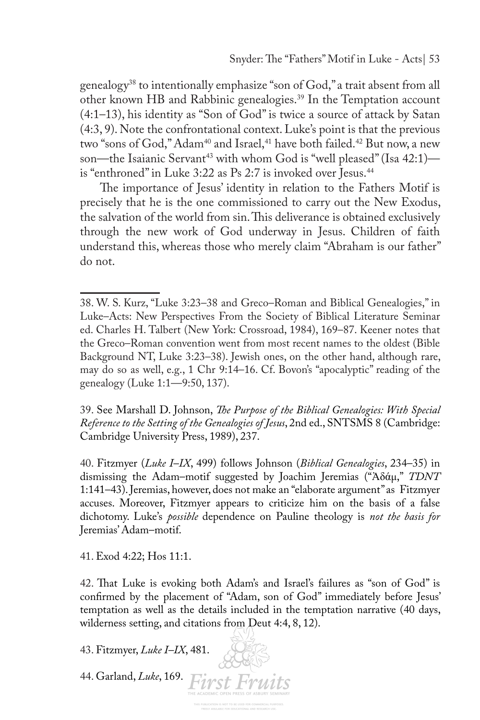genealogy<sup>38</sup> to intentionally emphasize "son of God," a trait absent from all other known HB and Rabbinic genealogies.39 In the Temptation account (4:1–13), his identity as "Son of God" is twice a source of attack by Satan (4:3, 9). Note the confrontational context. Luke's point is that the previous two "sons of God," Adam<sup>40</sup> and Israel,<sup>41</sup> have both failed.<sup>42</sup> But now, a new son—the Isaianic Servant<sup>43</sup> with whom God is "well pleased" (Isa 42:1) is "enthroned" in Luke 3:22 as Ps 2:7 is invoked over Jesus.<sup>44</sup>

The importance of Jesus' identity in relation to the Fathers Motif is precisely that he is the one commissioned to carry out the New Exodus, the salvation of the world from sin. This deliverance is obtained exclusively through the new work of God underway in Jesus. Children of faith understand this, whereas those who merely claim "Abraham is our father" do not.

39. See Marshall D. Johnson, *Te Purpose of the Biblical Genealogies: With Special Reference to the Setting of the Genealogies of Jesus*, 2nd ed., SNTSMS 8 (Cambridge: Cambridge University Press, 1989), 237.

40. Fitzmyer (*Luke I–IX*, 499) follows Johnson (*Biblical Genealogies*, 234–35) in dismissing the Adam–motif suggested by Joachim Jeremias ("Ἀδάµ," *TDNT* 1:141–43). Jeremias, however, does not make an "elaborate argument" as Fitzmyer accuses. Moreover, Fitzmyer appears to criticize him on the basis of a false dichotomy. Luke's *possible* dependence on Pauline theology is *not the basis for*  Jeremias' Adam–motif.

41. Exod 4:22; Hos 11:1.

42. That Luke is evoking both Adam's and Israel's failures as "son of God" is confrmed by the placement of "Adam, son of God" immediately before Jesus' temptation as well as the details included in the temptation narrative (40 days, wilderness setting, and citations from Deut 4:4, 8, 12).

43. Fitzmyer, *Luke I–IX*, 481.

44. Garland, *Luke*, 169.

<sup>38.</sup> W. S. Kurz, "Luke 3:23–38 and Greco–Roman and Biblical Genealogies," in Luke–Acts: New Perspectives From the Society of Biblical Literature Seminar ed. Charles H. Talbert (New York: Crossroad, 1984), 169–87. Keener notes that the Greco–Roman convention went from most recent names to the oldest (Bible Background NT, Luke 3:23–38). Jewish ones, on the other hand, although rare, may do so as well, e.g., 1 Chr 9:14–16. Cf. Bovon's "apocalyptic" reading of the genealogy (Luke 1:1—9:50, 137).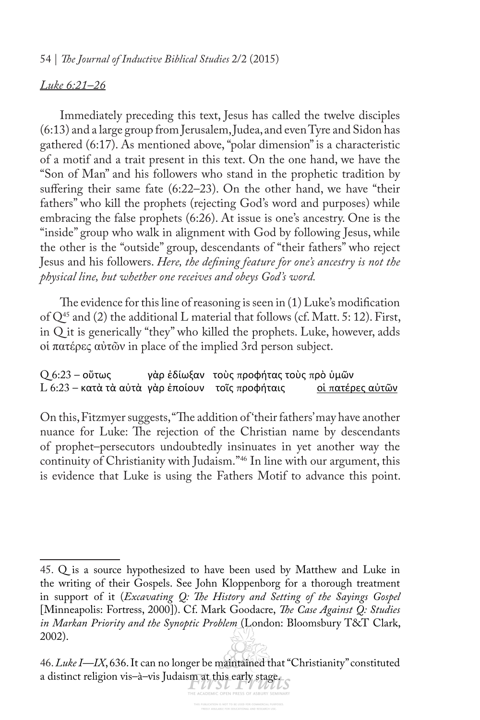#### *Luke 6:21–26*

Immediately preceding this text, Jesus has called the twelve disciples (6:13) and a large group from Jerusalem, Judea, and even Tyre and Sidon has gathered (6:17). As mentioned above, "polar dimension" is a characteristic of a motif and a trait present in this text. On the one hand, we have the "Son of Man" and his followers who stand in the prophetic tradition by sufering their same fate (6:22–23). On the other hand, we have "their fathers" who kill the prophets (rejecting God's word and purposes) while embracing the false prophets (6:26). At issue is one's ancestry. One is the "inside" group who walk in alignment with God by following Jesus, while the other is the "outside" group, descendants of "their fathers" who reject Jesus and his followers. *Here, the defning feature for one's ancestry is not the physical line, but whether one receives and obeys God's word.* 

The evidence for this line of reasoning is seen in  $(1)$  Luke's modification of  $Q^{45}$  and (2) the additional L material that follows (cf. Matt. 5: 12). First, in Q it is generically "they" who killed the prophets. Luke, however, adds οἱ πατέρες αὐτῶν in place of the implied 3rd person subject.

Q 6:23 – οὕτως γὰρ ἐδίωξαν τοὺς προφήτας τοὺς πρὸ ὑμῶν<br>L 6:23 – κατὰ τὰ αὐτὰ γὰρ ἐποίουν τοῖς προφήταις οἱ πατέρες αὐτῶν L 6:23 – κατὰ τὰ αὐτὰ γὰρ ἐποίουν τοῖς προφήταις

On this, Fitzmyer suggests, "The addition of 'their fathers' may have another nuance for Luke: The rejection of the Christian name by descendants of prophet–persecutors undoubtedly insinuates in yet another way the continuity of Christianity with Judaism."46 In line with our argument, this is evidence that Luke is using the Fathers Motif to advance this point.

<sup>45.</sup> Q is a source hypothesized to have been used by Matthew and Luke in the writing of their Gospels. See John Kloppenborg for a thorough treatment in support of it (*Excavating Q: Te History and Setting of the Sayings Gospel*  [Minneapolis: Fortress, 2000]). Cf. Mark Goodacre, *Te Case Against Q: Studies in Markan Priority and the Synoptic Problem* (London: Bloomsbury T&T Clark, 2002).

<sup>46.</sup> *Luke I—IX*, 636. It can no longer be maintained that "Christianity" constituted a distinct religion vis–à–vis Judaism at this early stage.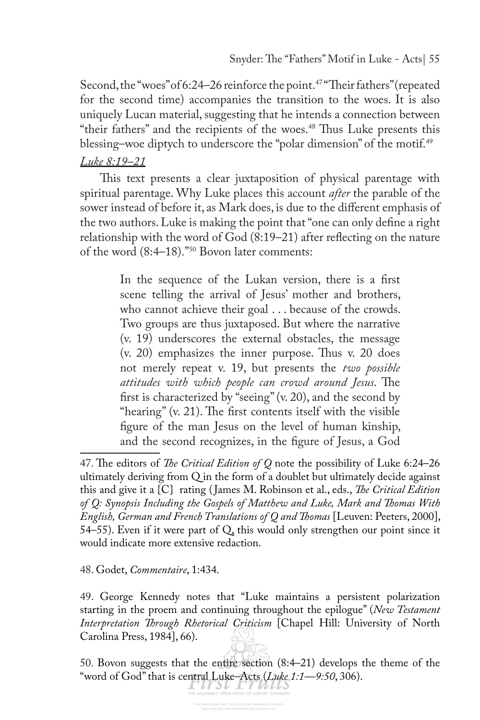Second, the "woes" of 6:24–26 reinforce the point.<sup>47</sup> "Their fathers" (repeated for the second time) accompanies the transition to the woes. It is also uniquely Lucan material, suggesting that he intends a connection between "their fathers" and the recipients of the woes.<sup>48</sup> Thus Luke presents this blessing-woe diptych to underscore the "polar dimension" of the motif.<sup>49</sup>

#### *Luke 8:19–21*

This text presents a clear juxtaposition of physical parentage with spiritual parentage. Why Luke places this account *after* the parable of the sower instead of before it, as Mark does, is due to the diferent emphasis of the two authors. Luke is making the point that "one can only defne a right relationship with the word of God (8:19–21) after refecting on the nature of the word (8:4–18)."50 Bovon later comments:

> In the sequence of the Lukan version, there is a frst scene telling the arrival of Jesus' mother and brothers, who cannot achieve their goal . . . because of the crowds. Two groups are thus juxtaposed. But where the narrative (v. 19) underscores the external obstacles, the message  $(v. 20)$  emphasizes the inner purpose. Thus v. 20 does not merely repeat v. 19, but presents the *two possible*  attitudes with which people can crowd around Jesus. The frst is characterized by "seeing" (v. 20), and the second by "hearing"  $(v. 21)$ . The first contents itself with the visible fgure of the man Jesus on the level of human kinship, and the second recognizes, in the fgure of Jesus, a God

#### 48. Godet, *Commentaire*, 1:434.

49. George Kennedy notes that "Luke maintains a persistent polarization starting in the proem and continuing throughout the epilogue" (*New Testament Interpretation Trough Rhetorical Criticism* [Chapel Hill: University of North Carolina Press, 1984], 66).

50. Bovon suggests that the entire section (8:4–21) develops the theme of the Word of God" that is central Luke–Acts *(Luke 1:1—9:50*, 306).

<sup>47.</sup> The editors of *The Critical Edition of Q* note the possibility of Luke 6:24-26 ultimately deriving from Q in the form of a doublet but ultimately decide against this and give it a {C} rating ( James M. Robinson et al., eds., *Te Critical Edition of Q: Synopsis Including the Gospels of Matthew and Luke, Mark and Tomas With English, German and French Translations of Q and Tomas* [Leuven: Peeters, 2000], 54–55). Even if it were part of Q, this would only strengthen our point since it would indicate more extensive redaction.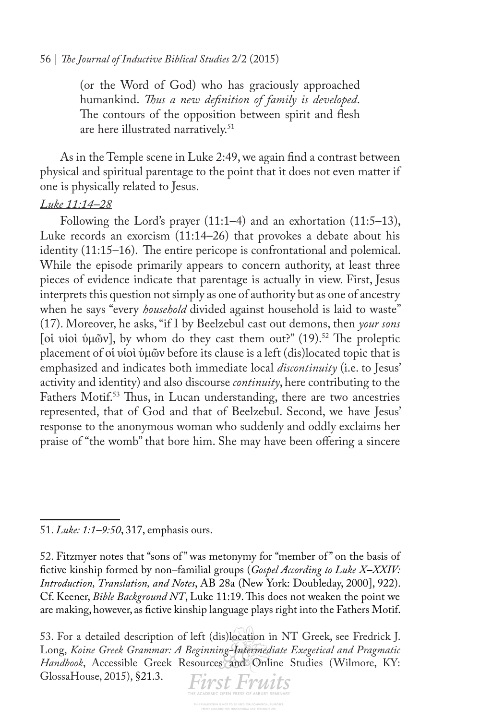(or the Word of God) who has graciously approached humankind. *Tus a new defnition of family is developed*. The contours of the opposition between spirit and flesh are here illustrated narratively.<sup>51</sup>

As in the Temple scene in Luke 2:49, we again fnd a contrast between physical and spiritual parentage to the point that it does not even matter if one is physically related to Jesus.

#### *Luke 11:14–28*

Following the Lord's prayer (11:1–4) and an exhortation (11:5–13), Luke records an exorcism (11:14–26) that provokes a debate about his identity (11:15–16). The entire pericope is confrontational and polemical. While the episode primarily appears to concern authority, at least three pieces of evidence indicate that parentage is actually in view. First, Jesus interprets this question not simply as one of authority but as one of ancestry when he says "every *household* divided against household is laid to waste" (17). Moreover, he asks, "if I by Beelzebul cast out demons, then *your sons* [οἱ υἱοὶ ὑμῶν], by whom do they cast them out?" (19).<sup>52</sup> The proleptic placement of οἱ υἱοὶ ὑμῶν before its clause is a left (dis)located topic that is emphasized and indicates both immediate local *discontinuity* (i.e. to Jesus' activity and identity) and also discourse *continuity*, here contributing to the Fathers Motif.<sup>53</sup> Thus, in Lucan understanding, there are two ancestries represented, that of God and that of Beelzebul. Second, we have Jesus' response to the anonymous woman who suddenly and oddly exclaims her praise of "the womb" that bore him. She may have been ofering a sincere

<sup>53.</sup> For a detailed description of left (dis)location in NT Greek, see Fredrick J. Long, *Koine Greek Grammar: A Beginning-Intermediate Exegetical and Pragmatic Handbook*, Accessible Greek Resources and Online Studies (Wilmore, KY: GlossaHouse, 2015), §21.3.



<sup>51.</sup> *Luke: 1:1–9:50*, 317, emphasis ours.

<sup>52.</sup> Fitzmyer notes that "sons of " was metonymy for "member of " on the basis of fctive kinship formed by non–familial groups (*Gospel According to Luke X–XXIV: Introduction, Translation, and Notes*, AB 28a (New York: Doubleday, 2000], 922). Cf. Keener, *Bible Background NT*, Luke 11:19. This does not weaken the point we are making, however, as fctive kinship language plays right into the Fathers Motif.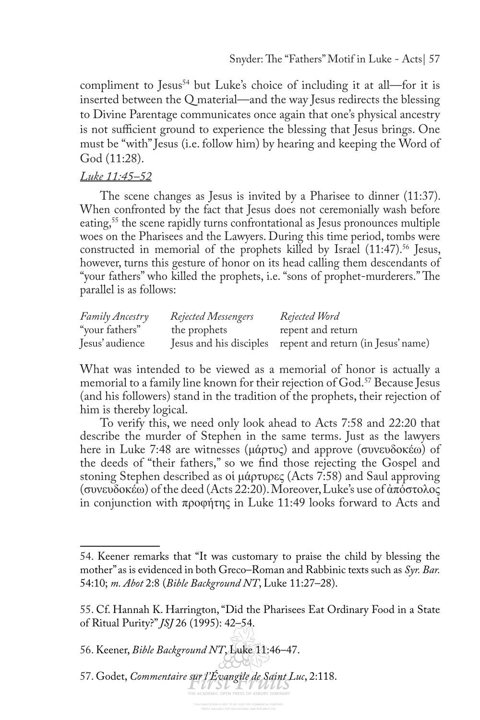compliment to Jesus<sup>54</sup> but Luke's choice of including it at all—for it is inserted between the Q material—and the way Jesus redirects the blessing to Divine Parentage communicates once again that one's physical ancestry is not sufficient ground to experience the blessing that Jesus brings. One must be "with" Jesus (i.e. follow him) by hearing and keeping the Word of God (11:28).

#### *Luke 11:45–52*

The scene changes as Jesus is invited by a Pharisee to dinner (11:37). When confronted by the fact that Jesus does not ceremonially wash before eating,<sup>55</sup> the scene rapidly turns confrontational as Jesus pronounces multiple woes on the Pharisees and the Lawyers. During this time period, tombs were constructed in memorial of the prophets killed by Israel (11:47).<sup>56</sup> Jesus, however, turns this gesture of honor on its head calling them descendants of "your fathers" who killed the prophets, i.e. "sons of prophet-murderers." The parallel is as follows:

| Family Ancestry | <b>Rejected Messengers</b> | Rejected Word                                              |
|-----------------|----------------------------|------------------------------------------------------------|
| "your fathers"  | the prophets               | repent and return                                          |
| Jesus' audience |                            | Jesus and his disciples repent and return (in Jesus' name) |

What was intended to be viewed as a memorial of honor is actually a memorial to a family line known for their rejection of God.<sup>57</sup> Because Jesus (and his followers) stand in the tradition of the prophets, their rejection of him is thereby logical.

To verify this, we need only look ahead to Acts 7:58 and 22:20 that describe the murder of Stephen in the same terms. Just as the lawyers here in Luke 7:48 are witnesses (μάρτυς) and approve (συνευδοκέω) of the deeds of "their fathers," so we fnd those rejecting the Gospel and stoning Stephen described as οἱ μάρτυρες (Acts 7:58) and Saul approving (συνευδοκέω) of the deed (Acts 22:20). Moreover, Luke's use of ἀπόστολος in conjunction with προφήτης in Luke 11:49 looks forward to Acts and

<sup>54.</sup> Keener remarks that "It was customary to praise the child by blessing the mother" as is evidenced in both Greco–Roman and Rabbinic texts such as *Syr. Bar.*  54:10; *m. Abot* 2:8 (*Bible Background NT*, Luke 11:27–28).

<sup>55.</sup> Cf. Hannah K. Harrington, "Did the Pharisees Eat Ordinary Food in a State of Ritual Purity?" *JSJ* 26 (1995): 42–54.

<sup>56.</sup> Keener, *Bible Background NT*, Luke 11:46–47.

<sup>57.</sup> Godet, *Commentaire sur l'Évangile de Saint Luc*, 2:118.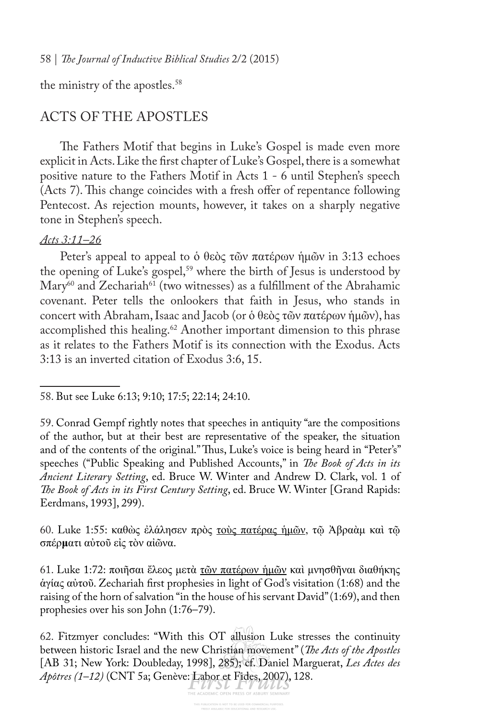the ministry of the apostles.<sup>58</sup>

# ACTS OF THE APOSTLES

The Fathers Motif that begins in Luke's Gospel is made even more explicit in Acts. Like the frst chapter of Luke's Gospel, there is a somewhat positive nature to the Fathers Motif in Acts 1 - 6 until Stephen's speech (Acts 7). This change coincides with a fresh offer of repentance following Pentecost. As rejection mounts, however, it takes on a sharply negative tone in Stephen's speech.

#### *Acts 3:11–26*

Peter's appeal to appeal to ὁ θεὸς τῶν πατέρων ἡμῶν in 3:13 echoes the opening of Luke's gospel,<sup>59</sup> where the birth of Jesus is understood by  $\text{Mary}^{60}$  and Zechariah<sup>61</sup> (two witnesses) as a fulfillment of the Abrahamic covenant. Peter tells the onlookers that faith in Jesus, who stands in concert with Abraham, Isaac and Jacob (or ὁ θεὸς τῶν πατέρων ἡμῶν), has accomplished this healing.<sup>62</sup> Another important dimension to this phrase as it relates to the Fathers Motif is its connection with the Exodus. Acts 3:13 is an inverted citation of Exodus 3:6, 15.

60. Luke 1:55: καθὼς ἐλάλησεν πρὸς τοὺς πατέρας ἡμῶν, τῷ Ἀβραὰμ καὶ τῷ σπέρ**μ**ατι αὐτοῦ εἰς τὸν αἰῶνα.

61. Luke 1:72: ποιῆσαι ἔλεος μετὰ τῶν πατέρων ἡμῶν καὶ μνησθῆναι διαθήκης ἁγίας αὐτοῦ. Zechariah frst prophesies in light of God's visitation (1:68) and the raising of the horn of salvation "in the house of his servant David" (1:69), and then prophesies over his son John (1:76–79).

<sup>58.</sup> But see Luke 6:13; 9:10; 17:5; 22:14; 24:10.

<sup>59.</sup> Conrad Gempf rightly notes that speeches in antiquity "are the compositions of the author, but at their best are representative of the speaker, the situation and of the contents of the original." Thus, Luke's voice is being heard in "Peter's" speeches ("Public Speaking and Published Accounts," in *Te Book of Acts in its Ancient Literary Setting*, ed. Bruce W. Winter and Andrew D. Clark, vol. 1 of *Te Book of Acts in its First Century Setting*, ed. Bruce W. Winter [Grand Rapids: Eerdmans, 1993], 299).

<sup>62.</sup> Fitzmyer concludes: "With this OT allusion Luke stresses the continuity between historic Israel and the new Christian movement" (*Te Acts of the Apostles*  [AB 31; New York: Doubleday, 1998], 285); cf. Daniel Marguerat, *Les Actes des Apôtres (1–12)* (CNT 5a; Genève: Labor et Fides, 2007), 128.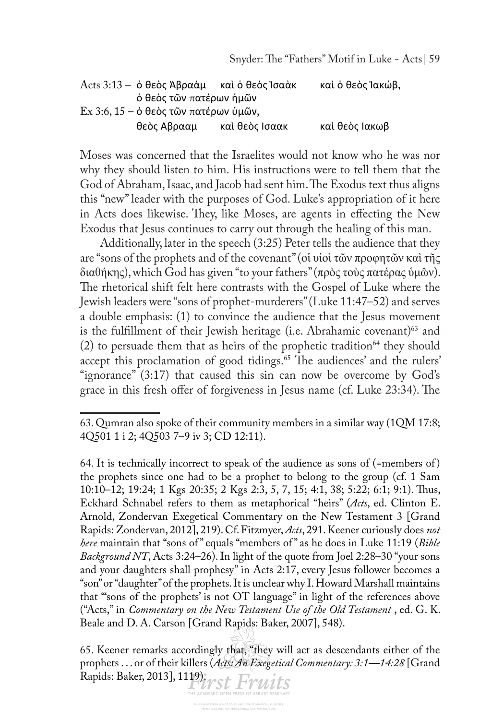|                                               | Acts 3:13 – ὁ θεὸς Ἀβραὰμ — καὶ ὁ θεὸς Ἰσαὰκ |                | καὶ ὁ θεὸς Ἰακώβ, |
|-----------------------------------------------|----------------------------------------------|----------------|-------------------|
|                                               | ο θεος τῶν πατέρων ἡμῶν                      |                |                   |
| $Ex 3:6, 15 - \dot{o}$ θεὸς τῶν πατέρων ὑμῶν, |                                              |                |                   |
|                                               | θεὸς Αβρααμ                                  | καὶ θεὸς Ισαακ | καὶ θεὸς Ιακωβ    |

Moses was concerned that the Israelites would not know who he was nor why they should listen to him. His instructions were to tell them that the God of Abraham, Isaac, and Jacob had sent him. The Exodus text thus aligns this "new" leader with the purposes of God. Luke's appropriation of it here in Acts does likewise. They, like Moses, are agents in effecting the New Exodus that Jesus continues to carry out through the healing of this man.

Additionally, later in the speech (3:25) Peter tells the audience that they are "sons of the prophets and of the covenant" (οἱ υἱοὶ τῶν προφητῶν καὶ τῆς διαθήκης), which God has given "to your fathers" (πρὸς τοὺς πατέρας ὑμῶν). The rhetorical shift felt here contrasts with the Gospel of Luke where the Jewish leaders were "sons of prophet-murderers" (Luke 11:47–52) and serves a double emphasis: (1) to convince the audience that the Jesus movement is the fulfillment of their Jewish heritage (i.e. Abrahamic covenant)<sup>63</sup> and (2) to persuade them that as heirs of the prophetic tradition<sup>64</sup> they should accept this proclamation of good tidings.<sup>65</sup> The audiences' and the rulers' "ignorance" (3:17) that caused this sin can now be overcome by God's grace in this fresh offer of forgiveness in Jesus name (cf. Luke 23:34). The

65. Keener remarks accordingly that, "they will act as descendants either of the prophets . . . or of their killers (*Acts: An Exegetical Commentary: 3:1—14:28* [Grand Rapids: Baker, 2013], 1119); rst Fruits

<sup>63.</sup> Qumran also spoke of their community members in a similar way (1QM 17:8; 4Q501 1 i 2; 4Q503 7–9 iv 3; CD 12:11).

<sup>64.</sup> It is technically incorrect to speak of the audience as sons of (=members of ) the prophets since one had to be a prophet to belong to the group (cf. 1 Sam 10:10–12; 19:24; 1 Kgs 20:35; 2 Kgs 2:3, 5, 7, 15; 4:1, 38; 5:22; 6:1; 9:1). Tus, Eckhard Schnabel refers to them as metaphorical "heirs" (*Acts*, ed. Clinton E. Arnold, Zondervan Exegetical Commentary on the New Testament 3 [Grand Rapids: Zondervan, 2012], 219). Cf. Fitzmyer, *Acts*, 291. Keener curiously does *not here* maintain that "sons of " equals "members of " as he does in Luke 11:19 (*Bible Background NT*, Acts 3:24–26). In light of the quote from Joel 2:28–30 "your sons and your daughters shall prophesy" in Acts 2:17, every Jesus follower becomes a "son" or "daughter" of the prophets. It is unclear why I. Howard Marshall maintains that "'sons of the prophets' is not OT language" in light of the references above ("Acts," in *Commentary on the New Testament Use of the Old Testament* , ed. G. K. Beale and D. A. Carson [Grand Rapids: Baker, 2007], 548).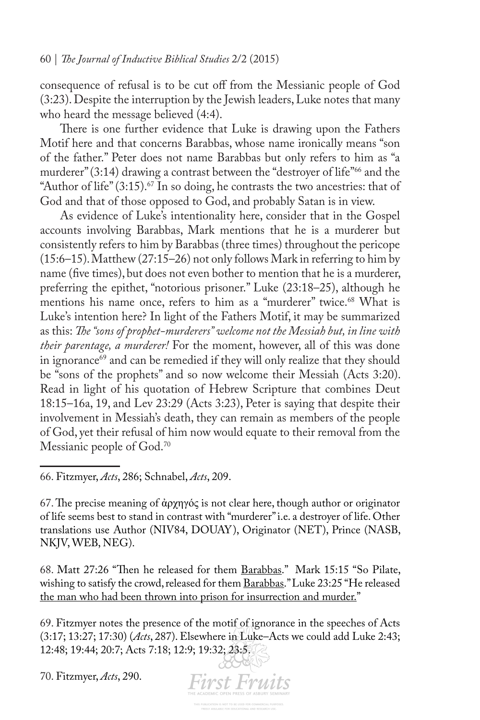consequence of refusal is to be cut off from the Messianic people of God (3:23). Despite the interruption by the Jewish leaders, Luke notes that many who heard the message believed (4:4).

There is one further evidence that Luke is drawing upon the Fathers Motif here and that concerns Barabbas, whose name ironically means "son of the father." Peter does not name Barabbas but only refers to him as "a murderer" (3:14) drawing a contrast between the "destroyer of life"<sup>66</sup> and the "Author of life"  $(3:15)$ .<sup>67</sup> In so doing, he contrasts the two ancestries: that of God and that of those opposed to God, and probably Satan is in view.

As evidence of Luke's intentionality here, consider that in the Gospel accounts involving Barabbas, Mark mentions that he is a murderer but consistently refers to him by Barabbas (three times) throughout the pericope (15:6–15). Matthew (27:15–26) not only follows Mark in referring to him by name (fve times), but does not even bother to mention that he is a murderer, preferring the epithet, "notorious prisoner." Luke (23:18–25), although he mentions his name once, refers to him as a "murderer" twice.<sup>68</sup> What is Luke's intention here? In light of the Fathers Motif, it may be summarized as this: *Te "sons of prophet-murderers" welcome not the Messiah but, in line with their parentage, a murderer!* For the moment, however, all of this was done in ignorance<sup>69</sup> and can be remedied if they will only realize that they should be "sons of the prophets" and so now welcome their Messiah (Acts 3:20). Read in light of his quotation of Hebrew Scripture that combines Deut 18:15–16a, 19, and Lev 23:29 (Acts 3:23), Peter is saying that despite their involvement in Messiah's death, they can remain as members of the people of God, yet their refusal of him now would equate to their removal from the Messianic people of God.<sup>70</sup>

66. Fitzmyer, *Acts*, 286; Schnabel, *Acts*, 209.

67. The precise meaning of άρχηγός is not clear here, though author or originator of life seems best to stand in contrast with "murderer" i.e. a destroyer of life. Other translations use Author (NIV84, DOUAY), Originator (NET), Prince (NASB, NKJV, WEB, NEG).

68. Matt 27:26 "Then he released for them Barabbas." Mark 15:15 "So Pilate, wishing to satisfy the crowd, released for them Barabbas." Luke 23:25 "He released the man who had been thrown into prison for insurrection and murder."

69. Fitzmyer notes the presence of the motif of ignorance in the speeches of Acts (3:17; 13:27; 17:30) (*Acts*, 287). Elsewhere in Luke–Acts we could add Luke 2:43; 12:48; 19:44; 20:7; Acts 7:18; 12:9; 19:32; 23:5.

**First Fruits** 

70. Fitzmyer, *Acts*, 290.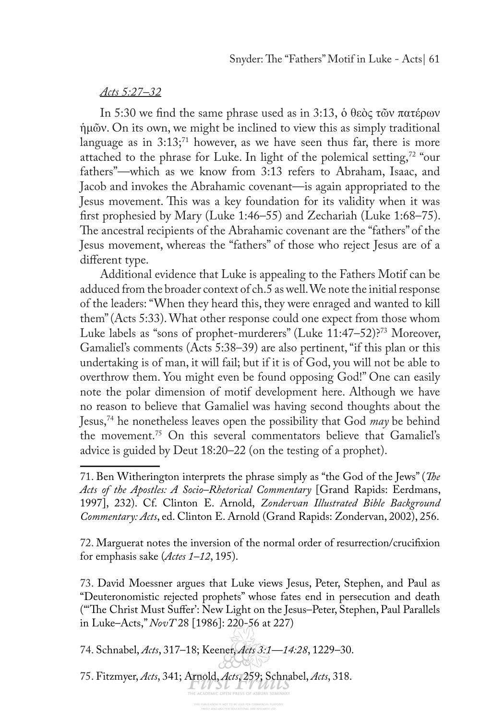#### *Acts 5:27–32*

In 5:30 we fnd the same phrase used as in 3:13, ὁ θεὸς τῶν πατέρων ἡμῶν. On its own, we might be inclined to view this as simply traditional language as in  $3:13$ ;<sup>71</sup> however, as we have seen thus far, there is more attached to the phrase for Luke. In light of the polemical setting,<sup>72</sup> "our fathers"—which as we know from 3:13 refers to Abraham, Isaac, and Jacob and invokes the Abrahamic covenant—is again appropriated to the Jesus movement. This was a key foundation for its validity when it was frst prophesied by Mary (Luke 1:46–55) and Zechariah (Luke 1:68–75). The ancestral recipients of the Abrahamic covenant are the "fathers" of the Jesus movement, whereas the "fathers" of those who reject Jesus are of a diferent type.

Additional evidence that Luke is appealing to the Fathers Motif can be adduced from the broader context of ch.5 as well. We note the initial response of the leaders: "When they heard this, they were enraged and wanted to kill them" (Acts 5:33). What other response could one expect from those whom Luke labels as "sons of prophet-murderers" (Luke 11:47–52)?<sup>73</sup> Moreover, Gamaliel's comments (Acts 5:38–39) are also pertinent, "if this plan or this undertaking is of man, it will fail; but if it is of God, you will not be able to overthrow them. You might even be found opposing God!" One can easily note the polar dimension of motif development here. Although we have no reason to believe that Gamaliel was having second thoughts about the Jesus,74 he nonetheless leaves open the possibility that God *may* be behind the movement.75 On this several commentators believe that Gamaliel's advice is guided by Deut 18:20–22 (on the testing of a prophet).

72. Marguerat notes the inversion of the normal order of resurrection/crucifxion for emphasis sake (*Actes 1–12*, 195).

73. David Moessner argues that Luke views Jesus, Peter, Stephen, and Paul as "Deuteronomistic rejected prophets" whose fates end in persecution and death ("The Christ Must Suffer': New Light on the Jesus-Peter, Stephen, Paul Parallels in Luke–Acts," *NovT* 28 [1986]: 220-56 at 227)

74. Schnabel, *Acts*, 317–18; Keener, *Acts 3:1—14:28*, 1229–30.

75. Fitzmyer, *Acts*, 341; Arnold, *Acts*, 259; Schnabel, *Acts*, 318.

<sup>71.</sup> Ben Witherington interprets the phrase simply as "the God of the Jews" (*Te Acts of the Apostles: A Socio–Rhetorical Commentary* [Grand Rapids: Eerdmans, 1997], 232). Cf. Clinton E. Arnold, *Zondervan Illustrated Bible Background Commentary: Acts*, ed. Clinton E. Arnold (Grand Rapids: Zondervan, 2002), 256.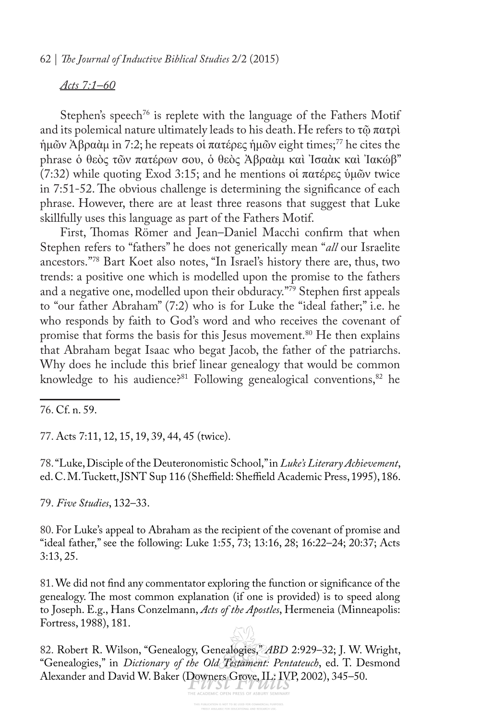#### *Acts 7:1–60*

Stephen's speech<sup>76</sup> is replete with the language of the Fathers Motif and its polemical nature ultimately leads to his death. He refers to  $\tau\tilde{\omega}$  πατρὶ ἡμῶν Ἀβραὰµ in 7:2; he repeats οἱ πατέρες ἡμῶν eight times;77 he cites the phrase ὁ θεὸς τῶν πατέρων σου, ὁ θεὸς Ἀβραὰμ καὶ Ἰσαὰκ καὶ Ἰακώβ" (7:32) while quoting Exod 3:15; and he mentions οἱ πατέρες ὑμῶν twice in 7:51-52. The obvious challenge is determining the significance of each phrase. However, there are at least three reasons that suggest that Luke skillfully uses this language as part of the Fathers Motif.

First, Thomas Römer and Jean–Daniel Macchi confirm that when Stephen refers to "fathers" he does not generically mean "*all* our Israelite ancestors."78 Bart Koet also notes, "In Israel's history there are, thus, two trends: a positive one which is modelled upon the promise to the fathers and a negative one, modelled upon their obduracy."79 Stephen frst appeals to "our father Abraham" (7:2) who is for Luke the "ideal father;" i.e. he who responds by faith to God's word and who receives the covenant of promise that forms the basis for this Jesus movement.<sup>80</sup> He then explains that Abraham begat Isaac who begat Jacob, the father of the patriarchs. Why does he include this brief linear genealogy that would be common knowledge to his audience?<sup>81</sup> Following genealogical conventions,<sup>82</sup> he

77. Acts 7:11, 12, 15, 19, 39, 44, 45 (twice).

78. "Luke, Disciple of the Deuteronomistic School," in *Luke's Literary Achievement*, ed. C. M. Tuckett, JSNT Sup 116 (Sheffield: Sheffield Academic Press, 1995), 186.

79. *Five Studies*, 132–33.

80. For Luke's appeal to Abraham as the recipient of the covenant of promise and "ideal father," see the following: Luke 1:55, 73; 13:16, 28; 16:22–24; 20:37; Acts 3:13, 25.

81. We did not fnd any commentator exploring the function or signifcance of the genealogy. The most common explanation (if one is provided) is to speed along to Joseph. E.g., Hans Conzelmann, *Acts of the Apostles*, Hermeneia (Minneapolis: Fortress, 1988), 181.

82. Robert R. Wilson, "Genealogy, Genealogies," *ABD* 2:929–32; J. W. Wright, "Genealogies," in *Dictionary of the Old Testament: Pentateuch*, ed. T. Desmond Alexander and David W. Baker (Downers Grove, IL: IVP, 2002), 345–50.

<sup>76.</sup> Cf. n. 59.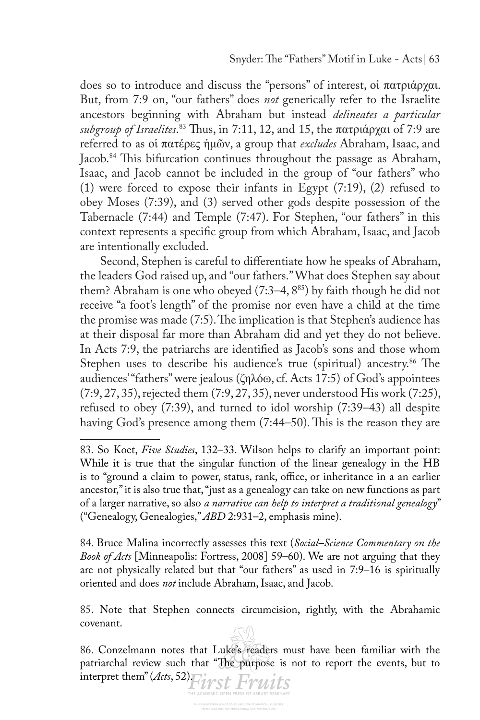does so to introduce and discuss the "persons" of interest, οἱ πατριάρχαι. But, from 7:9 on, "our fathers" does *not* generically refer to the Israelite ancestors beginning with Abraham but instead *delineates a particular subgroup of Israelites*. <sup>83</sup> Tus, in 7:11, 12, and 15, the πατριάρχαι of 7:9 are referred to as οἱ πατέρες ἡμῶν, a group that *excludes* Abraham, Isaac, and Jacob.<sup>84</sup> This bifurcation continues throughout the passage as Abraham, Isaac, and Jacob cannot be included in the group of "our fathers" who (1) were forced to expose their infants in Egypt (7:19), (2) refused to obey Moses (7:39), and (3) served other gods despite possession of the Tabernacle (7:44) and Temple (7:47). For Stephen, "our fathers" in this context represents a specifc group from which Abraham, Isaac, and Jacob are intentionally excluded.

Second, Stephen is careful to diferentiate how he speaks of Abraham, the leaders God raised up, and "our fathers." What does Stephen say about them? Abraham is one who obeyed (7:3-4, 8<sup>85</sup>) by faith though he did not receive "a foot's length" of the promise nor even have a child at the time the promise was made (7:5). The implication is that Stephen's audience has at their disposal far more than Abraham did and yet they do not believe. In Acts 7:9, the patriarchs are identifed as Jacob's sons and those whom Stephen uses to describe his audience's true (spiritual) ancestry.<sup>86</sup> The audiences' "fathers" were jealous (ζηλόω, cf. Acts 17:5) of God's appointees (7:9, 27, 35), rejected them (7:9, 27, 35), never understood His work (7:25), refused to obey (7:39), and turned to idol worship (7:39–43) all despite having God's presence among them (7:44–50). This is the reason they are

84. Bruce Malina incorrectly assesses this text (*Social–Science Commentary on the Book of Acts* [Minneapolis: Fortress, 2008] 59–60). We are not arguing that they are not physically related but that "our fathers" as used in 7:9–16 is spiritually oriented and does *not* include Abraham, Isaac, and Jacob.

85. Note that Stephen connects circumcision, rightly, with the Abrahamic covenant.

86. Conzelmann notes that Luke's readers must have been familiar with the patriarchal review such that "The purpose is not to report the events, but to interpret them" (*Acts*, 52)<sup>T</sup>ivst Fruits

<sup>83.</sup> So Koet, *Five Studies*, 132–33. Wilson helps to clarify an important point: While it is true that the singular function of the linear genealogy in the HB is to "ground a claim to power, status, rank, office, or inheritance in a an earlier ancestor," it is also true that, "just as a genealogy can take on new functions as part of a larger narrative, so also *a narrative can help to interpret a traditional genealogy*" ("Genealogy, Genealogies," *ABD* 2:931–2, emphasis mine).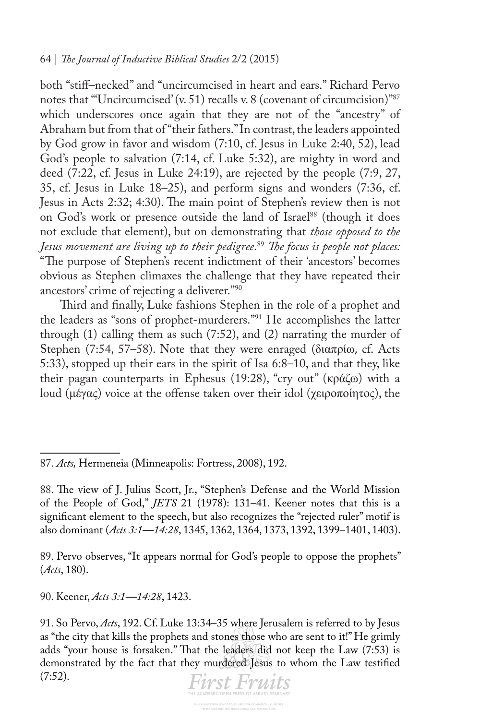both "stif–necked" and "uncircumcised in heart and ears." Richard Pervo notes that "Uncircumcised' (v. 51) recalls v. 8 (covenant of circumcision)"<sup>87</sup> which underscores once again that they are not of the "ancestry" of Abraham but from that of "their fathers." In contrast, the leaders appointed by God grow in favor and wisdom (7:10, cf. Jesus in Luke 2:40, 52), lead God's people to salvation (7:14, cf. Luke 5:32), are mighty in word and deed (7:22, cf. Jesus in Luke 24:19), are rejected by the people (7:9, 27, 35, cf. Jesus in Luke 18–25), and perform signs and wonders (7:36, cf. Jesus in Acts 2:32; 4:30). The main point of Stephen's review then is not on God's work or presence outside the land of Israel<sup>88</sup> (though it does not exclude that element), but on demonstrating that *those opposed to the Jesus movement are living up to their pedigree*. <sup>89</sup> *Te focus is people not places:*  "The purpose of Stephen's recent indictment of their 'ancestors' becomes obvious as Stephen climaxes the challenge that they have repeated their ancestors' crime of rejecting a deliverer."90

Third and finally, Luke fashions Stephen in the role of a prophet and the leaders as "sons of prophet-murderers."91 He accomplishes the latter through (1) calling them as such (7:52), and (2) narrating the murder of Stephen (7:54, 57–58). Note that they were enraged (διαπρίω, cf. Acts 5:33), stopped up their ears in the spirit of Isa 6:8–10, and that they, like their pagan counterparts in Ephesus (19:28), "cry out" (κράζω) with a loud (μέγας) voice at the offense taken over their idol (χειροποίητος), the

89. Pervo observes, "It appears normal for God's people to oppose the prophets" (*Acts*, 180).

90. Keener, *Acts 3:1—14:28*, 1423.

<sup>91.</sup> So Pervo, *Acts*, 192. Cf. Luke 13:34–35 where Jerusalem is referred to by Jesus as "the city that kills the prophets and stones those who are sent to it!" He grimly adds "your house is forsaken." That the leaders did not keep the Law (7:53) is demonstrated by the fact that they murdered Jesus to whom the Law testifed (7:52).



<sup>87.</sup> *Acts,* Hermeneia (Minneapolis: Fortress, 2008), 192.

<sup>88.</sup> The view of J. Julius Scott, Jr., "Stephen's Defense and the World Mission of the People of God," *JETS* 21 (1978): 131–41. Keener notes that this is a signifcant element to the speech, but also recognizes the "rejected ruler" motif is also dominant (*Acts 3:1—14:28*, 1345, 1362, 1364, 1373, 1392, 1399–1401, 1403).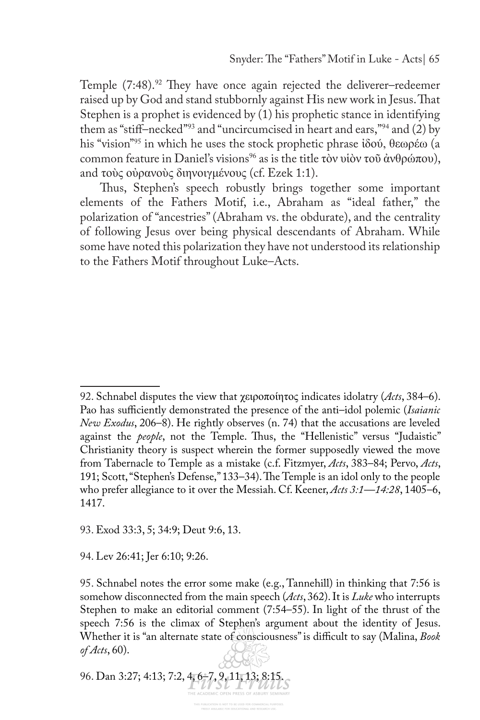Temple  $(7:48).$ <sup>92</sup> They have once again rejected the deliverer–redeemer raised up by God and stand stubbornly against His new work in Jesus. That Stephen is a prophet is evidenced by (1) his prophetic stance in identifying them as "stif–necked"93 and "uncircumcised in heart and ears,"94 and (2) by his "vision"95 in which he uses the stock prophetic phrase ἰδού, θεωρέω (a common feature in Daniel's visions<sup>96</sup> as is the title τὸν υἱὸν τοῦ ἀνθρώπου), and τοὺς οὐρανοὺς διηνοιγμένους (cf. Ezek 1:1).

Thus, Stephen's speech robustly brings together some important elements of the Fathers Motif, i.e., Abraham as "ideal father," the polarization of "ancestries" (Abraham vs. the obdurate), and the centrality of following Jesus over being physical descendants of Abraham. While some have noted this polarization they have not understood its relationship to the Fathers Motif throughout Luke–Acts.

93. Exod 33:3, 5; 34:9; Deut 9:6, 13.

94. Lev 26:41; Jer 6:10; 9:26.

96. Dan 3:27; 4:13; 7:2, 4, 6–7, 9, 11, 13; 8:15.

<sup>92.</sup> Schnabel disputes the view that χειροποίητος indicates idolatry (*Acts*, 384–6). Pao has sufficiently demonstrated the presence of the anti-idol polemic (*Isaianic New Exodus*, 206–8). He rightly observes (n. 74) that the accusations are leveled against the *people*, not the Temple. Thus, the "Hellenistic" versus "Judaistic" Christianity theory is suspect wherein the former supposedly viewed the move from Tabernacle to Temple as a mistake (c.f. Fitzmyer, *Acts*, 383–84; Pervo, *Acts*, 191; Scott, "Stephen's Defense," 133–34). The Temple is an idol only to the people who prefer allegiance to it over the Messiah. Cf. Keener, *Acts 3:1—14:28*, 1405–6, 1417.

<sup>95.</sup> Schnabel notes the error some make (e.g., Tannehill) in thinking that 7:56 is somehow disconnected from the main speech (*Acts*, 362). It is *Luke* who interrupts Stephen to make an editorial comment (7:54–55). In light of the thrust of the speech 7:56 is the climax of Stephen's argument about the identity of Jesus. Whether it is "an alternate state of consciousness" is difficult to say (Malina, *Book of Acts*, 60).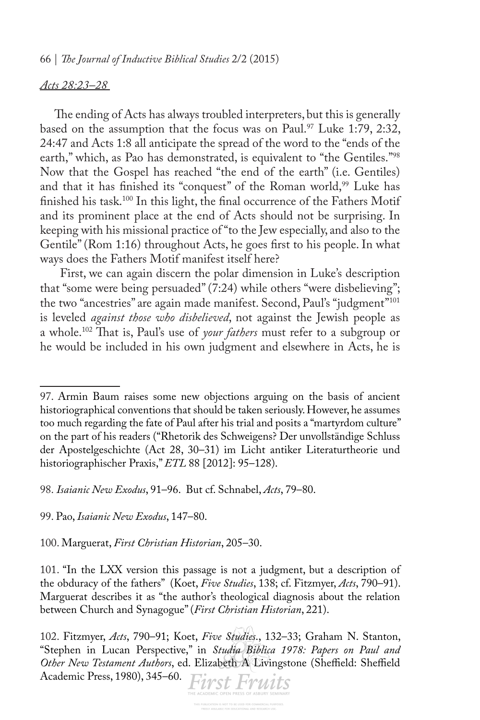#### *Acts 28:23–28*

The ending of Acts has always troubled interpreters, but this is generally based on the assumption that the focus was on Paul.<sup>97</sup> Luke 1:79, 2:32, 24:47 and Acts 1:8 all anticipate the spread of the word to the "ends of the earth," which, as Pao has demonstrated, is equivalent to "the Gentiles."98 Now that the Gospel has reached "the end of the earth" (i.e. Gentiles) and that it has finished its "conquest" of the Roman world,<sup>99</sup> Luke has finished his task.<sup>100</sup> In this light, the final occurrence of the Fathers Motif and its prominent place at the end of Acts should not be surprising. In keeping with his missional practice of "to the Jew especially, and also to the Gentile" (Rom 1:16) throughout Acts, he goes frst to his people. In what ways does the Fathers Motif manifest itself here?

First, we can again discern the polar dimension in Luke's description that "some were being persuaded" (7:24) while others "were disbelieving"; the two "ancestries" are again made manifest. Second, Paul's "judgment"<sup>101</sup> is leveled *against those who disbelieved*, not against the Jewish people as a whole.102 Tat is, Paul's use of *your fathers* must refer to a subgroup or he would be included in his own judgment and elsewhere in Acts, he is

98. *Isaianic New Exodus*, 91–96. But cf. Schnabel, *Acts*, 79–80.

99. Pao, *Isaianic New Exodus*, 147–80.

100. Marguerat, *First Christian Historian*, 205–30.

101. "In the LXX version this passage is not a judgment, but a description of the obduracy of the fathers" (Koet, *Five Studies*, 138; cf. Fitzmyer, *Acts*, 790–91). Marguerat describes it as "the author's theological diagnosis about the relation between Church and Synagogue" (*First Christian Historian*, 221).

102. Fitzmyer, *Acts*, 790–91; Koet, *Five Studies*., 132–33; Graham N. Stanton, "Stephen in Lucan Perspective," in *Studia Biblica 1978: Papers on Paul and*  Other New Testament Authors, ed. Elizabeth A Livingstone (Sheffield: Sheffield Academic Press, 1980), 345–60. First Fruits

<sup>97.</sup> Armin Baum raises some new objections arguing on the basis of ancient historiographical conventions that should be taken seriously. However, he assumes too much regarding the fate of Paul after his trial and posits a "martyrdom culture" on the part of his readers ("Rhetorik des Schweigens? Der unvollständige Schluss der Apostelgeschichte (Act 28, 30–31) im Licht antiker Literaturtheorie und historiographischer Praxis," *ETL* 88 [2012]: 95–128).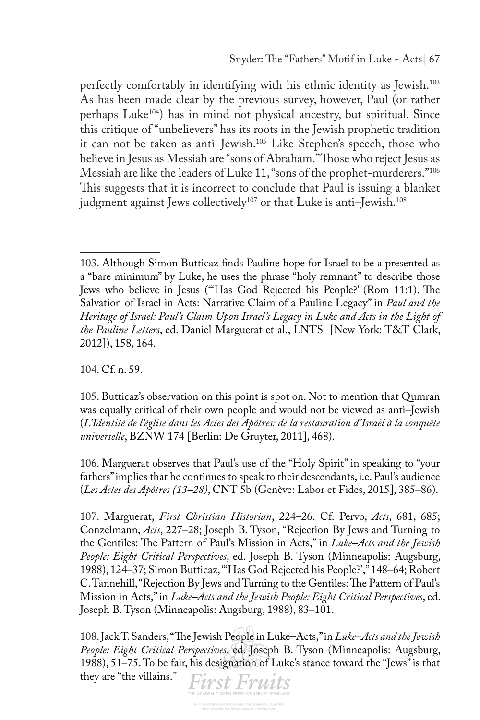perfectly comfortably in identifying with his ethnic identity as Jewish.103 As has been made clear by the previous survey, however, Paul (or rather perhaps Luke<sup>104</sup>) has in mind not physical ancestry, but spiritual. Since this critique of "unbelievers" has its roots in the Jewish prophetic tradition it can not be taken as anti–Jewish.105 Like Stephen's speech, those who believe in Jesus as Messiah are "sons of Abraham." Those who reject Jesus as Messiah are like the leaders of Luke 11, "sons of the prophet-murderers."106 This suggests that it is incorrect to conclude that Paul is issuing a blanket judgment against Jews collectively<sup>107</sup> or that Luke is anti-Jewish.<sup>108</sup>

104. Cf. n. 59.

105. Butticaz's observation on this point is spot on. Not to mention that Qumran was equally critical of their own people and would not be viewed as anti–Jewish (*L'Identité de l'église dans les Actes des Apôtres: de la restauration d'Israël à la conquête universelle*, BZNW 174 [Berlin: De Gruyter, 2011], 468).

106. Marguerat observes that Paul's use of the "Holy Spirit" in speaking to "your fathers" implies that he continues to speak to their descendants, i.e. Paul's audience (*Les Actes des Apôtres (13–28)*, CNT 5b (Genève: Labor et Fides, 2015], 385–86).

107. Marguerat, *First Christian Historian*, 224–26. Cf. Pervo, *Acts*, 681, 685; Conzelmann, *Acts*, 227–28; Joseph B. Tyson, "Rejection By Jews and Turning to the Gentiles: The Pattern of Paul's Mission in Acts," in *Luke-Acts and the Jewish People: Eight Critical Perspectives*, ed. Joseph B. Tyson (Minneapolis: Augsburg, 1988), 124–37; Simon Butticaz, "'Has God Rejected his People?'," 148–64; Robert C. Tannehill, "Rejection By Jews and Turning to the Gentiles: The Pattern of Paul's Mission in Acts," in *Luke–Acts and the Jewish People: Eight Critical Perspectives*, ed. Joseph B. Tyson (Minneapolis: Augsburg, 1988), 83–101.

108. Jack T. Sanders, "The Jewish People in Luke–Acts," in *Luke–Acts and the Jewish People: Eight Critical Perspectives*, ed. Joseph B. Tyson (Minneapolis: Augsburg, 1988), 51–75. To be fair, his designation of Luke's stance toward the "Jews" is that they are "the villains."**First Fruits** 

<sup>103.</sup> Although Simon Butticaz fnds Pauline hope for Israel to be a presented as a "bare minimum" by Luke, he uses the phrase "holy remnant" to describe those Jews who believe in Jesus ("Has God Rejected his People?' (Rom 11:1). The Salvation of Israel in Acts: Narrative Claim of a Pauline Legacy" in *Paul and the Heritage of Israel: Paul's Claim Upon Israel's Legacy in Luke and Acts in the Light of the Pauline Letters*, ed. Daniel Marguerat et al., LNTS [New York: T&T Clark, 2012]), 158, 164.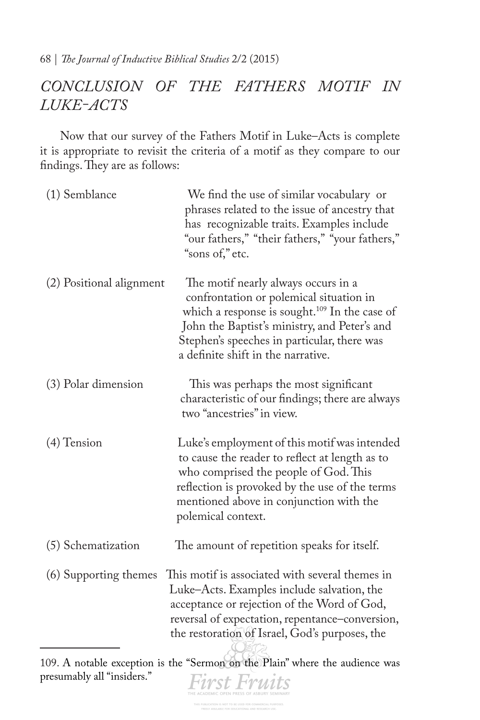# *CONCLUSION OF THE FATHERS MOTIF IN LUKE-ACTS*

Now that our survey of the Fathers Motif in Luke–Acts is complete it is appropriate to revisit the criteria of a motif as they compare to our findings. They are as follows:

| (1) Semblance            | We find the use of similar vocabulary or<br>phrases related to the issue of ancestry that<br>has recognizable traits. Examples include<br>"our fathers," "their fathers," "your fathers,"<br>"sons of," etc.                                                                     |
|--------------------------|----------------------------------------------------------------------------------------------------------------------------------------------------------------------------------------------------------------------------------------------------------------------------------|
| (2) Positional alignment | The motif nearly always occurs in a<br>confrontation or polemical situation in<br>which a response is sought. <sup>109</sup> In the case of<br>John the Baptist's ministry, and Peter's and<br>Stephen's speeches in particular, there was<br>a definite shift in the narrative. |
| (3) Polar dimension      | This was perhaps the most significant<br>characteristic of our findings; there are always<br>two "ancestries" in view.                                                                                                                                                           |
| $(4)$ Tension            | Luke's employment of this motif was intended<br>to cause the reader to reflect at length as to<br>who comprised the people of God. This<br>reflection is provoked by the use of the terms<br>mentioned above in conjunction with the<br>polemical context.                       |
| (5) Schematization       | The amount of repetition speaks for itself.                                                                                                                                                                                                                                      |
| (6) Supporting themes    | This motif is associated with several themes in<br>Luke-Acts. Examples include salvation, the<br>acceptance or rejection of the Word of God,<br>reversal of expectation, repentance-conversion,<br>the restoration of Israel, God's purposes, the                                |

109. A notable exception is the "Sermon on the Plain" where the audience was presumably all "insiders."**First Fruits**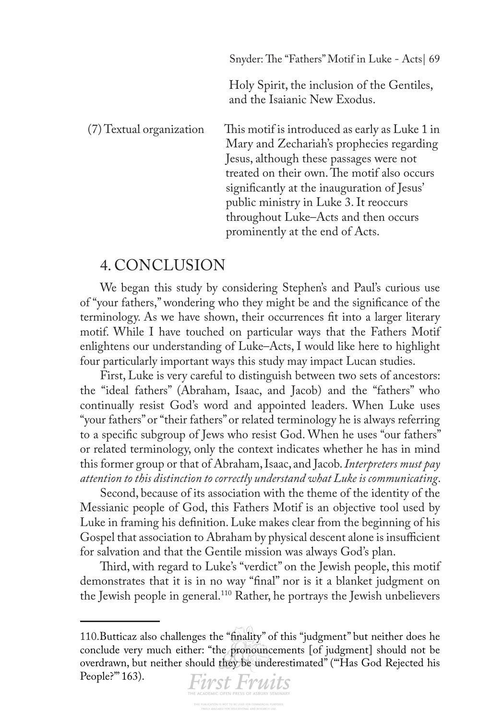|                          | Snyder: The "Fathers" Motif in Luke - Acts 69                                                                                                                                                                                                                                                                                                             |
|--------------------------|-----------------------------------------------------------------------------------------------------------------------------------------------------------------------------------------------------------------------------------------------------------------------------------------------------------------------------------------------------------|
|                          | Holy Spirit, the inclusion of the Gentiles,<br>and the Isaianic New Exodus.                                                                                                                                                                                                                                                                               |
| (7) Textual organization | This motif is introduced as early as Luke 1 in<br>Mary and Zechariah's prophecies regarding<br>Jesus, although these passages were not<br>treated on their own. The motif also occurs<br>significantly at the inauguration of Jesus'<br>public ministry in Luke 3. It reoccurs<br>throughout Luke-Acts and then occurs<br>prominently at the end of Acts. |

# 4. CONCLUSION

We began this study by considering Stephen's and Paul's curious use of "your fathers," wondering who they might be and the signifcance of the terminology. As we have shown, their occurrences ft into a larger literary motif. While I have touched on particular ways that the Fathers Motif enlightens our understanding of Luke–Acts, I would like here to highlight four particularly important ways this study may impact Lucan studies.

First, Luke is very careful to distinguish between two sets of ancestors: the "ideal fathers" (Abraham, Isaac, and Jacob) and the "fathers" who continually resist God's word and appointed leaders. When Luke uses "your fathers" or "their fathers" or related terminology he is always referring to a specifc subgroup of Jews who resist God. When he uses "our fathers" or related terminology, only the context indicates whether he has in mind this former group or that of Abraham, Isaac, and Jacob. *Interpreters must pay attention to this distinction to correctly understand what Luke is communicating*.

Second, because of its association with the theme of the identity of the Messianic people of God, this Fathers Motif is an objective tool used by Luke in framing his defnition. Luke makes clear from the beginning of his Gospel that association to Abraham by physical descent alone is insufficient for salvation and that the Gentile mission was always God's plan.

Third, with regard to Luke's "verdict" on the Jewish people, this motif demonstrates that it is in no way "fnal" nor is it a blanket judgment on the Jewish people in general.110 Rather, he portrays the Jewish unbelievers

People?" 163).

<sup>110.</sup>Butticaz also challenges the "fnality" of this "judgment" but neither does he conclude very much either: "the pronouncements [of judgment] should not be overdrawn, but neither should they be underestimated" ("'Has God Rejected his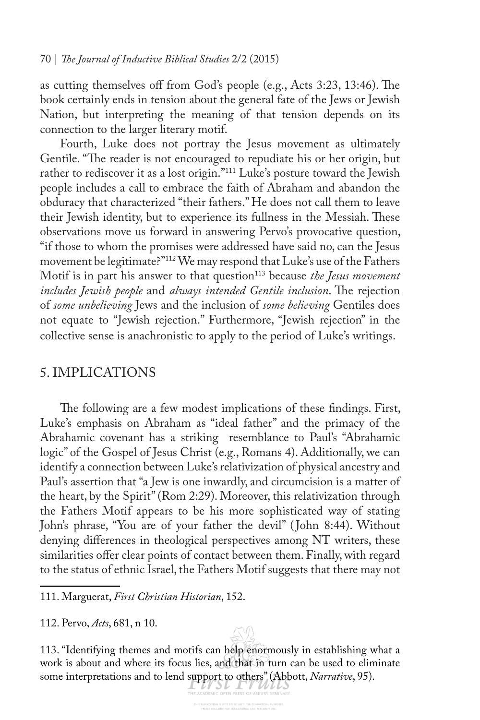as cutting themselves off from God's people (e.g., Acts 3:23, 13:46). The book certainly ends in tension about the general fate of the Jews or Jewish Nation, but interpreting the meaning of that tension depends on its connection to the larger literary motif.

Fourth, Luke does not portray the Jesus movement as ultimately Gentile. "The reader is not encouraged to repudiate his or her origin, but rather to rediscover it as a lost origin."<sup>111</sup> Luke's posture toward the Jewish people includes a call to embrace the faith of Abraham and abandon the obduracy that characterized "their fathers." He does not call them to leave their Jewish identity, but to experience its fullness in the Messiah. These observations move us forward in answering Pervo's provocative question, "if those to whom the promises were addressed have said no, can the Jesus movement be legitimate?"112 We may respond that Luke's use of the Fathers Motif is in part his answer to that question<sup>113</sup> because *the Jesus movement includes Jewish people* and *always intended Gentile inclusion*. The rejection of *some unbelieving* Jews and the inclusion of *some believing* Gentiles does not equate to "Jewish rejection." Furthermore, "Jewish rejection" in the collective sense is anachronistic to apply to the period of Luke's writings.

## 5. IMPLICATIONS

The following are a few modest implications of these findings. First, Luke's emphasis on Abraham as "ideal father" and the primacy of the Abrahamic covenant has a striking resemblance to Paul's "Abrahamic logic" of the Gospel of Jesus Christ (e.g., Romans 4). Additionally, we can identify a connection between Luke's relativization of physical ancestry and Paul's assertion that "a Jew is one inwardly, and circumcision is a matter of the heart, by the Spirit" (Rom 2:29). Moreover, this relativization through the Fathers Motif appears to be his more sophisticated way of stating John's phrase, "You are of your father the devil" ( John 8:44). Without denying diferences in theological perspectives among NT writers, these similarities offer clear points of contact between them. Finally, with regard to the status of ethnic Israel, the Fathers Motif suggests that there may not

111. Marguerat, *First Christian Historian*, 152.

112. Pervo, *Acts*, 681, n 10.

113. "Identifying themes and motifs can help enormously in establishing what a work is about and where its focus lies, and that in turn can be used to eliminate some interpretations and to lend support to others" (Abbott, *Narrative*, 95).